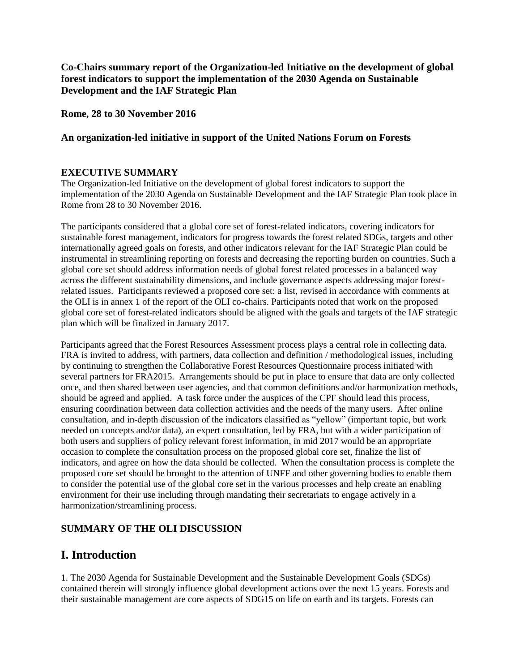**Co-Chairs summary report of the Organization-led Initiative on the development of global forest indicators to support the implementation of the 2030 Agenda on Sustainable Development and the IAF Strategic Plan** 

**Rome, 28 to 30 November 2016** 

#### **An organization-led initiative in support of the United Nations Forum on Forests**

#### **EXECUTIVE SUMMARY**

The Organization-led Initiative on the development of global forest indicators to support the implementation of the 2030 Agenda on Sustainable Development and the IAF Strategic Plan took place in Rome from 28 to 30 November 2016.

The participants considered that a global core set of forest-related indicators, covering indicators for sustainable forest management, indicators for progress towards the forest related SDGs, targets and other internationally agreed goals on forests, and other indicators relevant for the IAF Strategic Plan could be instrumental in streamlining reporting on forests and decreasing the reporting burden on countries. Such a global core set should address information needs of global forest related processes in a balanced way across the different sustainability dimensions, and include governance aspects addressing major forestrelated issues. Participants reviewed a proposed core set: a list, revised in accordance with comments at the OLI is in annex 1 of the report of the OLI co-chairs. Participants noted that work on the proposed global core set of forest-related indicators should be aligned with the goals and targets of the IAF strategic plan which will be finalized in January 2017.

Participants agreed that the Forest Resources Assessment process plays a central role in collecting data. FRA is invited to address, with partners, data collection and definition / methodological issues, including by continuing to strengthen the Collaborative Forest Resources Questionnaire process initiated with several partners for FRA2015. Arrangements should be put in place to ensure that data are only collected once, and then shared between user agencies, and that common definitions and/or harmonization methods, should be agreed and applied. A task force under the auspices of the CPF should lead this process, ensuring coordination between data collection activities and the needs of the many users. After online consultation, and in-depth discussion of the indicators classified as "yellow" (important topic, but work needed on concepts and/or data), an expert consultation, led by FRA, but with a wider participation of both users and suppliers of policy relevant forest information, in mid 2017 would be an appropriate occasion to complete the consultation process on the proposed global core set, finalize the list of indicators, and agree on how the data should be collected. When the consultation process is complete the proposed core set should be brought to the attention of UNFF and other governing bodies to enable them to consider the potential use of the global core set in the various processes and help create an enabling environment for their use including through mandating their secretariats to engage actively in a harmonization/streamlining process.

#### **SUMMARY OF THE OLI DISCUSSION**

#### **I. Introduction**

1. The 2030 Agenda for Sustainable Development and the Sustainable Development Goals (SDGs) contained therein will strongly influence global development actions over the next 15 years. Forests and their sustainable management are core aspects of SDG15 on life on earth and its targets. Forests can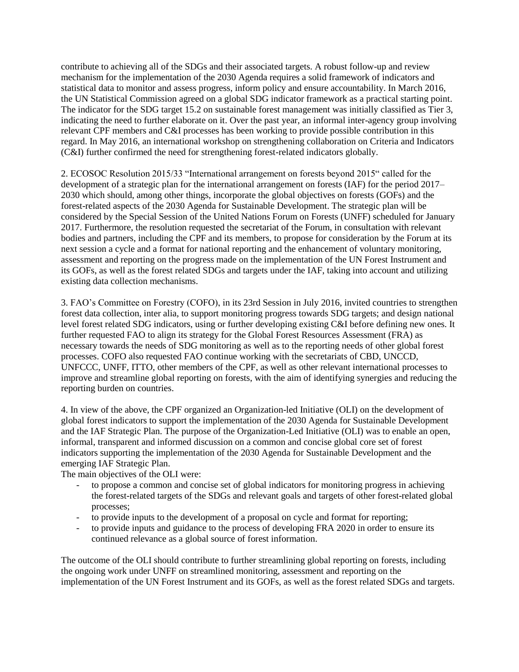contribute to achieving all of the SDGs and their associated targets. A robust follow-up and review mechanism for the implementation of the 2030 Agenda requires a solid framework of indicators and statistical data to monitor and assess progress, inform policy and ensure accountability. In March 2016, the UN Statistical Commission agreed on a global SDG indicator framework as a practical starting point. The indicator for the SDG target 15.2 on sustainable forest management was initially classified as Tier 3, indicating the need to further elaborate on it. Over the past year, an informal inter-agency group involving relevant CPF members and C&I processes has been working to provide possible contribution in this regard. In May 2016, an international workshop on strengthening collaboration on Criteria and Indicators (C&I) further confirmed the need for strengthening forest-related indicators globally.

2. ECOSOC Resolution 2015/33 "International arrangement on forests beyond 2015" called for the development of a strategic plan for the international arrangement on forests (IAF) for the period 2017– 2030 which should, among other things, incorporate the global objectives on forests (GOFs) and the forest-related aspects of the 2030 Agenda for Sustainable Development. The strategic plan will be considered by the Special Session of the United Nations Forum on Forests (UNFF) scheduled for January 2017. Furthermore, the resolution requested the secretariat of the Forum, in consultation with relevant bodies and partners, including the CPF and its members, to propose for consideration by the Forum at its next session a cycle and a format for national reporting and the enhancement of voluntary monitoring, assessment and reporting on the progress made on the implementation of the UN Forest Instrument and its GOFs, as well as the forest related SDGs and targets under the IAF, taking into account and utilizing existing data collection mechanisms.

3. FAO's Committee on Forestry (COFO), in its 23rd Session in July 2016, invited countries to strengthen forest data collection, inter alia, to support monitoring progress towards SDG targets; and design national level forest related SDG indicators, using or further developing existing C&I before defining new ones. It further requested FAO to align its strategy for the Global Forest Resources Assessment (FRA) as necessary towards the needs of SDG monitoring as well as to the reporting needs of other global forest processes. COFO also requested FAO continue working with the secretariats of CBD, UNCCD, UNFCCC, UNFF, ITTO, other members of the CPF, as well as other relevant international processes to improve and streamline global reporting on forests, with the aim of identifying synergies and reducing the reporting burden on countries.

4. In view of the above, the CPF organized an Organization-led Initiative (OLI) on the development of global forest indicators to support the implementation of the 2030 Agenda for Sustainable Development and the IAF Strategic Plan. The purpose of the Organization-Led Initiative (OLI) was to enable an open, informal, transparent and informed discussion on a common and concise global core set of forest indicators supporting the implementation of the 2030 Agenda for Sustainable Development and the emerging IAF Strategic Plan.

The main objectives of the OLI were:

- to propose a common and concise set of global indicators for monitoring progress in achieving the forest-related targets of the SDGs and relevant goals and targets of other forest-related global processes;
- to provide inputs to the development of a proposal on cycle and format for reporting;
- to provide inputs and guidance to the process of developing FRA 2020 in order to ensure its continued relevance as a global source of forest information.

The outcome of the OLI should contribute to further streamlining global reporting on forests, including the ongoing work under UNFF on streamlined monitoring, assessment and reporting on the implementation of the UN Forest Instrument and its GOFs, as well as the forest related SDGs and targets.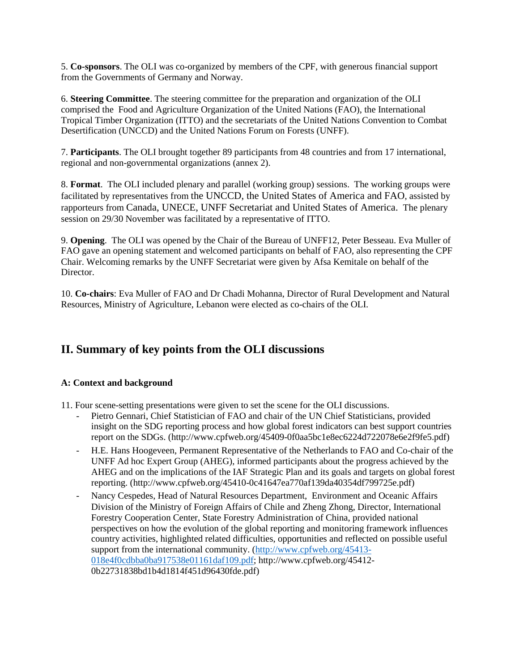5. **Co-sponsors**. The OLI was co-organized by members of the CPF, with generous financial support from the Governments of Germany and Norway.

6. **Steering Committee**. The steering committee for the preparation and organization of the OLI comprised the Food and Agriculture Organization of the United Nations (FAO), the International Tropical Timber Organization (ITTO) and the secretariats of the United Nations Convention to Combat Desertification (UNCCD) and the United Nations Forum on Forests (UNFF).

7. **Participants**. The OLI brought together 89 participants from 48 countries and from 17 international, regional and non-governmental organizations (annex 2).

8. **Format**. The OLI included plenary and parallel (working group) sessions. The working groups were facilitated by representatives from the UNCCD, the United States of America and FAO, assisted by rapporteurs from Canada, UNECE, UNFF Secretariat and United States of America. The plenary session on 29/30 November was facilitated by a representative of ITTO.

9. **Opening**. The OLI was opened by the Chair of the Bureau of UNFF12, Peter Besseau. Eva Muller of FAO gave an opening statement and welcomed participants on behalf of FAO, also representing the CPF Chair. Welcoming remarks by the UNFF Secretariat were given by Afsa Kemitale on behalf of the Director.

10. **Co-chairs**: Eva Muller of FAO and Dr Chadi Mohanna, Director of Rural Development and Natural Resources, Ministry of Agriculture, Lebanon were elected as co-chairs of the OLI.

## **II. Summary of key points from the OLI discussions**

#### **A: Context and background**

11. Four scene-setting presentations were given to set the scene for the OLI discussions.

- Pietro Gennari, Chief Statistician of FAO and chair of the UN Chief Statisticians, provided insight on the SDG reporting process and how global forest indicators can best support countries report on the SDGs. (http://www.cpfweb.org/45409-0f0aa5bc1e8ec6224d722078e6e2f9fe5.pdf)
- H.E. Hans Hoogeveen, Permanent Representative of the Netherlands to FAO and Co-chair of the UNFF Ad hoc Expert Group (AHEG), informed participants about the progress achieved by the AHEG and on the implications of the IAF Strategic Plan and its goals and targets on global forest reporting. (http://www.cpfweb.org/45410-0c41647ea770af139da40354df799725e.pdf)
- Nancy Cespedes, Head of Natural Resources Department, Environment and Oceanic Affairs Division of the Ministry of Foreign Affairs of Chile and Zheng Zhong, Director, International Forestry Cooperation Center, State Forestry Administration of China, provided national perspectives on how the evolution of the global reporting and monitoring framework influences country activities, highlighted related difficulties, opportunities and reflected on possible useful support from the international community. [\(http://www.cpfweb.org/45413-](http://www.cpfweb.org/45413-018e4f0cdbba0ba917538e01161daf109.pdf) [018e4f0cdbba0ba917538e01161daf109.pdf;](http://www.cpfweb.org/45413-018e4f0cdbba0ba917538e01161daf109.pdf) http://www.cpfweb.org/45412- 0b22731838bd1b4d1814f451d96430fde.pdf)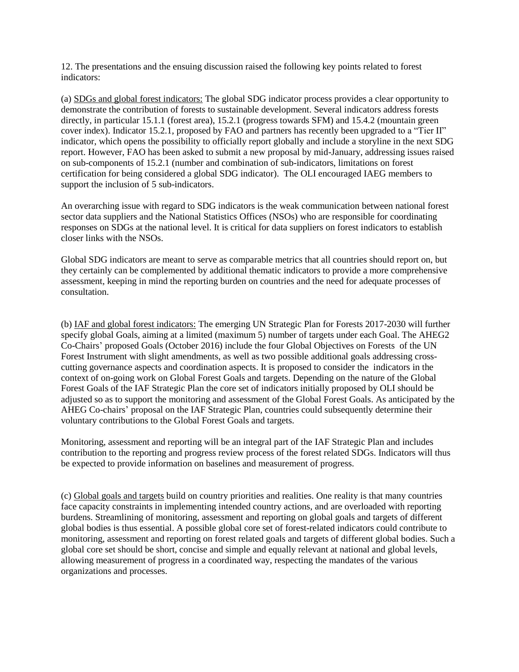12. The presentations and the ensuing discussion raised the following key points related to forest indicators:

(a) SDGs and global forest indicators: The global SDG indicator process provides a clear opportunity to demonstrate the contribution of forests to sustainable development. Several indicators address forests directly, in particular 15.1.1 (forest area), 15.2.1 (progress towards SFM) and 15.4.2 (mountain green cover index). Indicator 15.2.1, proposed by FAO and partners has recently been upgraded to a "Tier II" indicator, which opens the possibility to officially report globally and include a storyline in the next SDG report. However, FAO has been asked to submit a new proposal by mid-January, addressing issues raised on sub-components of 15.2.1 (number and combination of sub-indicators, limitations on forest certification for being considered a global SDG indicator). The OLI encouraged IAEG members to support the inclusion of 5 sub-indicators.

An overarching issue with regard to SDG indicators is the weak communication between national forest sector data suppliers and the National Statistics Offices (NSOs) who are responsible for coordinating responses on SDGs at the national level. It is critical for data suppliers on forest indicators to establish closer links with the NSOs.

Global SDG indicators are meant to serve as comparable metrics that all countries should report on, but they certainly can be complemented by additional thematic indicators to provide a more comprehensive assessment, keeping in mind the reporting burden on countries and the need for adequate processes of consultation.

(b) IAF and global forest indicators: The emerging UN Strategic Plan for Forests 2017-2030 will further specify global Goals, aiming at a limited (maximum 5) number of targets under each Goal. The AHEG2 Co-Chairs' proposed Goals (October 2016) include the four Global Objectives on Forests of the UN Forest Instrument with slight amendments, as well as two possible additional goals addressing crosscutting governance aspects and coordination aspects. It is proposed to consider the indicators in the context of on-going work on Global Forest Goals and targets. Depending on the nature of the Global Forest Goals of the IAF Strategic Plan the core set of indicators initially proposed by OLI should be adjusted so as to support the monitoring and assessment of the Global Forest Goals. As anticipated by the AHEG Co-chairs' proposal on the IAF Strategic Plan, countries could subsequently determine their voluntary contributions to the Global Forest Goals and targets.

Monitoring, assessment and reporting will be an integral part of the IAF Strategic Plan and includes contribution to the reporting and progress review process of the forest related SDGs. Indicators will thus be expected to provide information on baselines and measurement of progress.

(c) Global goals and targets build on country priorities and realities. One reality is that many countries face capacity constraints in implementing intended country actions, and are overloaded with reporting burdens. Streamlining of monitoring, assessment and reporting on global goals and targets of different global bodies is thus essential. A possible global core set of forest-related indicators could contribute to monitoring, assessment and reporting on forest related goals and targets of different global bodies. Such a global core set should be short, concise and simple and equally relevant at national and global levels, allowing measurement of progress in a coordinated way, respecting the mandates of the various organizations and processes.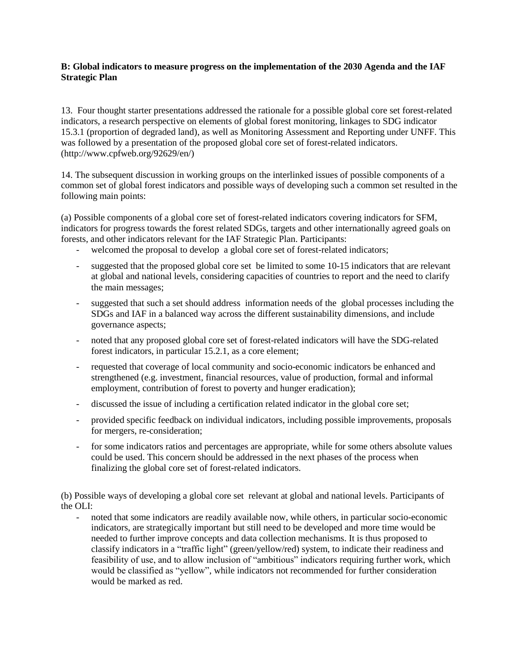#### **B: Global indicators to measure progress on the implementation of the 2030 Agenda and the IAF Strategic Plan**

13. Four thought starter presentations addressed the rationale for a possible global core set forest-related indicators, a research perspective on elements of global forest monitoring, linkages to SDG indicator 15.3.1 (proportion of degraded land), as well as Monitoring Assessment and Reporting under UNFF. This was followed by a presentation of the proposed global core set of forest-related indicators. (http://www.cpfweb.org/92629/en/)

14. The subsequent discussion in working groups on the interlinked issues of possible components of a common set of global forest indicators and possible ways of developing such a common set resulted in the following main points:

(a) Possible components of a global core set of forest-related indicators covering indicators for SFM, indicators for progress towards the forest related SDGs, targets and other internationally agreed goals on forests, and other indicators relevant for the IAF Strategic Plan. Participants:

- welcomed the proposal to develop a global core set of forest-related indicators;
- suggested that the proposed global core set be limited to some 10-15 indicators that are relevant at global and national levels, considering capacities of countries to report and the need to clarify the main messages;
- suggested that such a set should address information needs of the global processes including the SDGs and IAF in a balanced way across the different sustainability dimensions, and include governance aspects;
- noted that any proposed global core set of forest-related indicators will have the SDG-related forest indicators, in particular 15.2.1, as a core element;
- requested that coverage of local community and socio-economic indicators be enhanced and strengthened (e.g. investment, financial resources, value of production, formal and informal employment, contribution of forest to poverty and hunger eradication);
- discussed the issue of including a certification related indicator in the global core set;
- provided specific feedback on individual indicators, including possible improvements, proposals for mergers, re-consideration;
- for some indicators ratios and percentages are appropriate, while for some others absolute values could be used. This concern should be addressed in the next phases of the process when finalizing the global core set of forest-related indicators.

(b) Possible ways of developing a global core set relevant at global and national levels. Participants of the OLI:

- noted that some indicators are readily available now, while others, in particular socio-economic indicators, are strategically important but still need to be developed and more time would be needed to further improve concepts and data collection mechanisms. It is thus proposed to classify indicators in a "traffic light" (green/yellow/red) system, to indicate their readiness and feasibility of use, and to allow inclusion of "ambitious" indicators requiring further work, which would be classified as "yellow", while indicators not recommended for further consideration would be marked as red.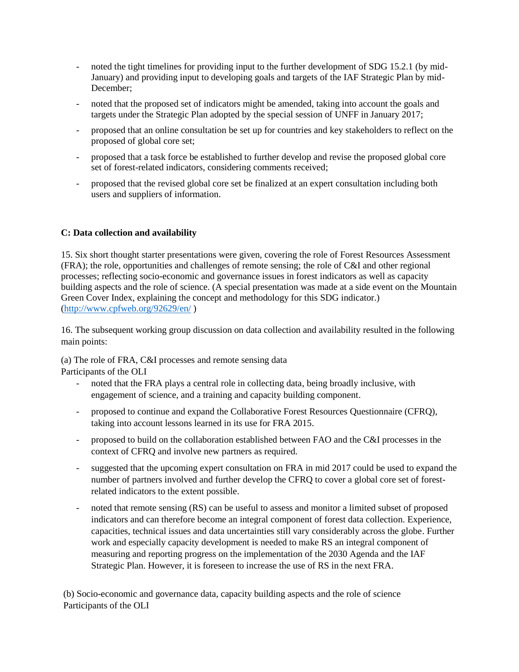- noted the tight timelines for providing input to the further development of SDG 15.2.1 (by mid-January) and providing input to developing goals and targets of the IAF Strategic Plan by mid-December;
- noted that the proposed set of indicators might be amended, taking into account the goals and targets under the Strategic Plan adopted by the special session of UNFF in January 2017;
- proposed that an online consultation be set up for countries and key stakeholders to reflect on the proposed of global core set;
- proposed that a task force be established to further develop and revise the proposed global core set of forest-related indicators, considering comments received;
- proposed that the revised global core set be finalized at an expert consultation including both users and suppliers of information.

#### **C: Data collection and availability**

15. Six short thought starter presentations were given, covering the role of Forest Resources Assessment (FRA); the role, opportunities and challenges of remote sensing; the role of C&I and other regional processes; reflecting socio-economic and governance issues in forest indicators as well as capacity building aspects and the role of science. (A special presentation was made at a side event on the Mountain Green Cover Index, explaining the concept and methodology for this SDG indicator.) [\(http://www.cpfweb.org/92629/en/](http://www.cpfweb.org/92629/en/) )

16. The subsequent working group discussion on data collection and availability resulted in the following main points:

(a) The role of FRA, C&I processes and remote sensing data Participants of the OLI

- noted that the FRA plays a central role in collecting data, being broadly inclusive, with engagement of science, and a training and capacity building component.
- proposed to continue and expand the Collaborative Forest Resources Questionnaire (CFRQ), taking into account lessons learned in its use for FRA 2015.
- proposed to build on the collaboration established between FAO and the C&I processes in the context of CFRQ and involve new partners as required.
- suggested that the upcoming expert consultation on FRA in mid 2017 could be used to expand the number of partners involved and further develop the CFRQ to cover a global core set of forestrelated indicators to the extent possible.
- noted that remote sensing (RS) can be useful to assess and monitor a limited subset of proposed indicators and can therefore become an integral component of forest data collection. Experience, capacities, technical issues and data uncertainties still vary considerably across the globe. Further work and especially capacity development is needed to make RS an integral component of measuring and reporting progress on the implementation of the 2030 Agenda and the IAF Strategic Plan. However, it is foreseen to increase the use of RS in the next FRA.

(b) Socio-economic and governance data, capacity building aspects and the role of science Participants of the OLI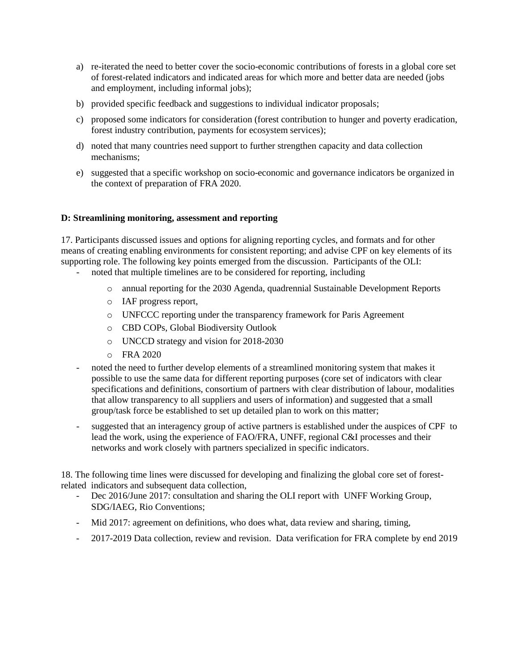- a) re-iterated the need to better cover the socio-economic contributions of forests in a global core set of forest-related indicators and indicated areas for which more and better data are needed (jobs and employment, including informal jobs);
- b) provided specific feedback and suggestions to individual indicator proposals;
- c) proposed some indicators for consideration (forest contribution to hunger and poverty eradication, forest industry contribution, payments for ecosystem services);
- d) noted that many countries need support to further strengthen capacity and data collection mechanisms;
- e) suggested that a specific workshop on socio-economic and governance indicators be organized in the context of preparation of FRA 2020.

#### **D: Streamlining monitoring, assessment and reporting**

17. Participants discussed issues and options for aligning reporting cycles, and formats and for other means of creating enabling environments for consistent reporting; and advise CPF on key elements of its supporting role. The following key points emerged from the discussion. Participants of the OLI:

- noted that multiple timelines are to be considered for reporting, including
	- o annual reporting for the 2030 Agenda, quadrennial Sustainable Development Reports
	- o IAF progress report,
	- o UNFCCC reporting under the transparency framework for Paris Agreement
	- o CBD COPs, Global Biodiversity Outlook
	- o UNCCD strategy and vision for 2018-2030
	- o FRA 2020
- noted the need to further develop elements of a streamlined monitoring system that makes it possible to use the same data for different reporting purposes (core set of indicators with clear specifications and definitions, consortium of partners with clear distribution of labour, modalities that allow transparency to all suppliers and users of information) and suggested that a small group/task force be established to set up detailed plan to work on this matter;
- suggested that an interagency group of active partners is established under the auspices of CPF to lead the work, using the experience of FAO/FRA, UNFF, regional C&I processes and their networks and work closely with partners specialized in specific indicators.

18. The following time lines were discussed for developing and finalizing the global core set of forestrelated indicators and subsequent data collection,

- Dec 2016/June 2017: consultation and sharing the OLI report with UNFF Working Group, SDG/IAEG, Rio Conventions;
- Mid 2017: agreement on definitions, who does what, data review and sharing, timing,
- 2017-2019 Data collection, review and revision. Data verification for FRA complete by end 2019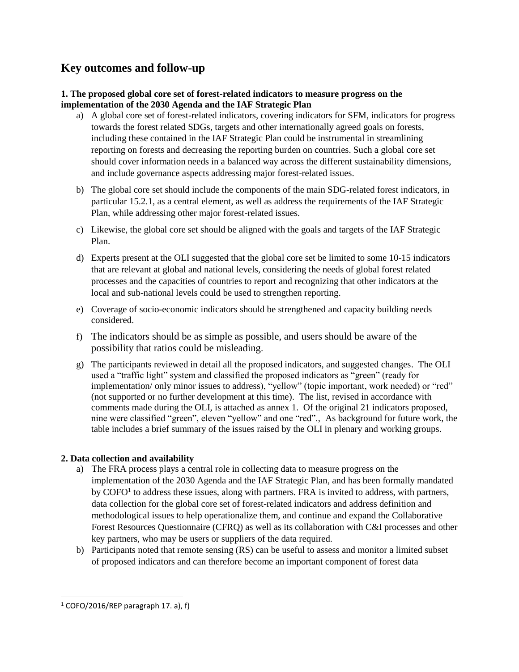## **Key outcomes and follow-up**

#### **1. The proposed global core set of forest-related indicators to measure progress on the implementation of the 2030 Agenda and the IAF Strategic Plan**

- a) A global core set of forest-related indicators, covering indicators for SFM, indicators for progress towards the forest related SDGs, targets and other internationally agreed goals on forests, including these contained in the IAF Strategic Plan could be instrumental in streamlining reporting on forests and decreasing the reporting burden on countries. Such a global core set should cover information needs in a balanced way across the different sustainability dimensions, and include governance aspects addressing major forest-related issues.
- b) The global core set should include the components of the main SDG-related forest indicators, in particular 15.2.1, as a central element, as well as address the requirements of the IAF Strategic Plan, while addressing other major forest-related issues.
- c) Likewise, the global core set should be aligned with the goals and targets of the IAF Strategic Plan.
- d) Experts present at the OLI suggested that the global core set be limited to some 10-15 indicators that are relevant at global and national levels, considering the needs of global forest related processes and the capacities of countries to report and recognizing that other indicators at the local and sub-national levels could be used to strengthen reporting.
- e) Coverage of socio-economic indicators should be strengthened and capacity building needs considered.
- f) The indicators should be as simple as possible, and users should be aware of the possibility that ratios could be misleading.
- g) The participants reviewed in detail all the proposed indicators, and suggested changes. The OLI used a "traffic light" system and classified the proposed indicators as "green" (ready for implementation/ only minor issues to address), "yellow" (topic important, work needed) or "red" (not supported or no further development at this time). The list, revised in accordance with comments made during the OLI, is attached as annex 1. Of the original 21 indicators proposed, nine were classified "green", eleven "yellow" and one "red"., As background for future work, the table includes a brief summary of the issues raised by the OLI in plenary and working groups.

#### **2. Data collection and availability**

- a) The FRA process plays a central role in collecting data to measure progress on the implementation of the 2030 Agenda and the IAF Strategic Plan, and has been formally mandated by COFO<sup>1</sup> to address these issues, along with partners. FRA is invited to address, with partners, data collection for the global core set of forest-related indicators and address definition and methodological issues to help operationalize them, and continue and expand the Collaborative Forest Resources Questionnaire (CFRQ) as well as its collaboration with C&I processes and other key partners, who may be users or suppliers of the data required.
- b) Participants noted that remote sensing (RS) can be useful to assess and monitor a limited subset of proposed indicators and can therefore become an important component of forest data

 $\overline{\phantom{a}}$ 

 $1$  COFO/2016/REP paragraph 17. a), f)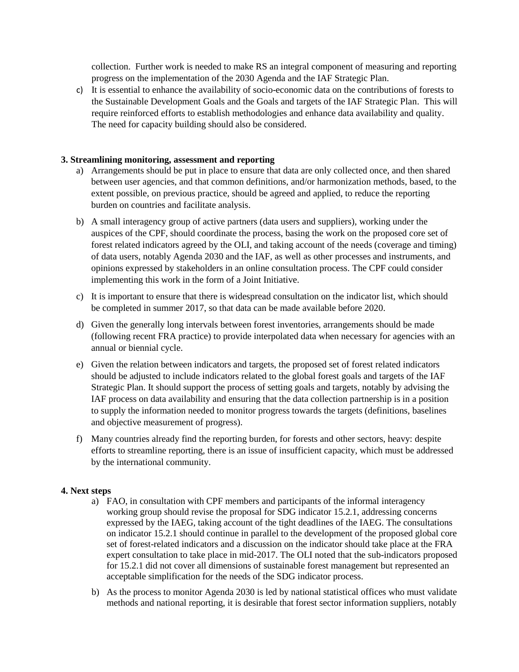collection. Further work is needed to make RS an integral component of measuring and reporting progress on the implementation of the 2030 Agenda and the IAF Strategic Plan.

c) It is essential to enhance the availability of socio-economic data on the contributions of forests to the Sustainable Development Goals and the Goals and targets of the IAF Strategic Plan. This will require reinforced efforts to establish methodologies and enhance data availability and quality. The need for capacity building should also be considered.

#### **3. Streamlining monitoring, assessment and reporting**

- a) Arrangements should be put in place to ensure that data are only collected once, and then shared between user agencies, and that common definitions, and/or harmonization methods, based, to the extent possible, on previous practice, should be agreed and applied, to reduce the reporting burden on countries and facilitate analysis.
- b) A small interagency group of active partners (data users and suppliers), working under the auspices of the CPF, should coordinate the process, basing the work on the proposed core set of forest related indicators agreed by the OLI, and taking account of the needs (coverage and timing) of data users, notably Agenda 2030 and the IAF, as well as other processes and instruments, and opinions expressed by stakeholders in an online consultation process. The CPF could consider implementing this work in the form of a Joint Initiative.
- c) It is important to ensure that there is widespread consultation on the indicator list, which should be completed in summer 2017, so that data can be made available before 2020.
- d) Given the generally long intervals between forest inventories, arrangements should be made (following recent FRA practice) to provide interpolated data when necessary for agencies with an annual or biennial cycle.
- e) Given the relation between indicators and targets, the proposed set of forest related indicators should be adjusted to include indicators related to the global forest goals and targets of the IAF Strategic Plan. It should support the process of setting goals and targets, notably by advising the IAF process on data availability and ensuring that the data collection partnership is in a position to supply the information needed to monitor progress towards the targets (definitions, baselines and objective measurement of progress).
- f) Many countries already find the reporting burden, for forests and other sectors, heavy: despite efforts to streamline reporting, there is an issue of insufficient capacity, which must be addressed by the international community.

#### **4. Next steps**

- a) FAO, in consultation with CPF members and participants of the informal interagency working group should revise the proposal for SDG indicator 15.2.1, addressing concerns expressed by the IAEG, taking account of the tight deadlines of the IAEG. The consultations on indicator 15.2.1 should continue in parallel to the development of the proposed global core set of forest-related indicators and a discussion on the indicator should take place at the FRA expert consultation to take place in mid-2017. The OLI noted that the sub-indicators proposed for 15.2.1 did not cover all dimensions of sustainable forest management but represented an acceptable simplification for the needs of the SDG indicator process.
- b) As the process to monitor Agenda 2030 is led by national statistical offices who must validate methods and national reporting, it is desirable that forest sector information suppliers, notably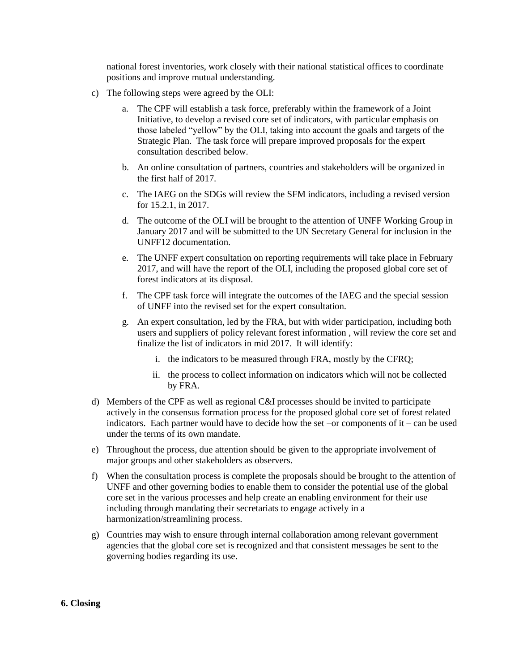national forest inventories, work closely with their national statistical offices to coordinate positions and improve mutual understanding.

- c) The following steps were agreed by the OLI:
	- a. The CPF will establish a task force, preferably within the framework of a Joint Initiative, to develop a revised core set of indicators, with particular emphasis on those labeled "yellow" by the OLI, taking into account the goals and targets of the Strategic Plan. The task force will prepare improved proposals for the expert consultation described below.
	- b. An online consultation of partners, countries and stakeholders will be organized in the first half of 2017.
	- c. The IAEG on the SDGs will review the SFM indicators, including a revised version for 15.2.1, in 2017.
	- d. The outcome of the OLI will be brought to the attention of UNFF Working Group in January 2017 and will be submitted to the UN Secretary General for inclusion in the UNFF12 documentation.
	- e. The UNFF expert consultation on reporting requirements will take place in February 2017, and will have the report of the OLI, including the proposed global core set of forest indicators at its disposal.
	- f. The CPF task force will integrate the outcomes of the IAEG and the special session of UNFF into the revised set for the expert consultation.
	- g. An expert consultation, led by the FRA, but with wider participation, including both users and suppliers of policy relevant forest information , will review the core set and finalize the list of indicators in mid 2017. It will identify:
		- i. the indicators to be measured through FRA, mostly by the CFRQ;
		- ii. the process to collect information on indicators which will not be collected by FRA.
- d) Members of the CPF as well as regional C&I processes should be invited to participate actively in the consensus formation process for the proposed global core set of forest related indicators. Each partner would have to decide how the set –or components of it – can be used under the terms of its own mandate.
- e) Throughout the process, due attention should be given to the appropriate involvement of major groups and other stakeholders as observers.
- f) When the consultation process is complete the proposals should be brought to the attention of UNFF and other governing bodies to enable them to consider the potential use of the global core set in the various processes and help create an enabling environment for their use including through mandating their secretariats to engage actively in a harmonization/streamlining process.
- g) Countries may wish to ensure through internal collaboration among relevant government agencies that the global core set is recognized and that consistent messages be sent to the governing bodies regarding its use.

#### **6. Closing**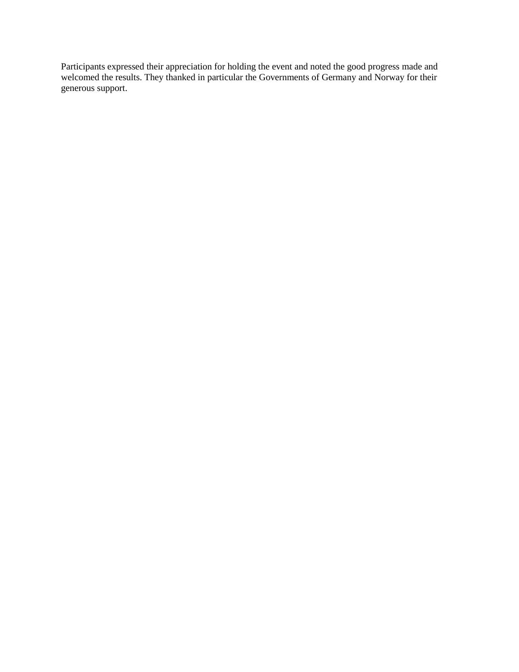Participants expressed their appreciation for holding the event and noted the good progress made and welcomed the results. They thanked in particular the Governments of Germany and Norway for their generous support.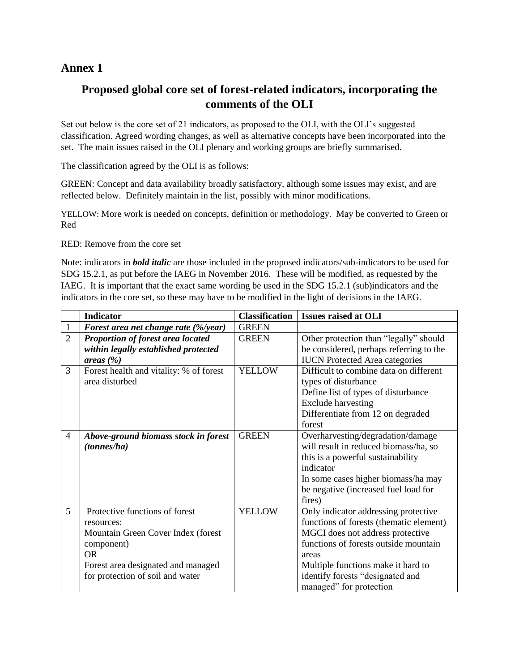## **Annex 1**

## **Proposed global core set of forest-related indicators, incorporating the comments of the OLI**

Set out below is the core set of 21 indicators, as proposed to the OLI, with the OLI's suggested classification. Agreed wording changes, as well as alternative concepts have been incorporated into the set. The main issues raised in the OLI plenary and working groups are briefly summarised.

The classification agreed by the OLI is as follows:

GREEN: Concept and data availability broadly satisfactory, although some issues may exist, and are reflected below. Definitely maintain in the list, possibly with minor modifications.

YELLOW: More work is needed on concepts, definition or methodology. May be converted to Green or Red

RED: Remove from the core set

Note: indicators in *bold italic* are those included in the proposed indicators/sub-indicators to be used for SDG 15.2.1, as put before the IAEG in November 2016. These will be modified, as requested by the IAEG. It is important that the exact same wording be used in the SDG 15.2.1 (sub)indicators and the indicators in the core set, so these may have to be modified in the light of decisions in the IAEG.

|                | <b>Indicator</b>                                                                                                                                                                        | <b>Classification</b> | <b>Issues raised at OLI</b>                                                                                                                                                                                                                                                |
|----------------|-----------------------------------------------------------------------------------------------------------------------------------------------------------------------------------------|-----------------------|----------------------------------------------------------------------------------------------------------------------------------------------------------------------------------------------------------------------------------------------------------------------------|
| $\mathbf{1}$   | Forest area net change rate (%/year)                                                                                                                                                    | <b>GREEN</b>          |                                                                                                                                                                                                                                                                            |
| $\overline{2}$ | Proportion of forest area located<br>within legally established protected<br>areas $(\% )$                                                                                              | <b>GREEN</b>          | Other protection than "legally" should<br>be considered, perhaps referring to the<br><b>IUCN</b> Protected Area categories                                                                                                                                                 |
| 3              | Forest health and vitality: % of forest<br>area disturbed                                                                                                                               | <b>YELLOW</b>         | Difficult to combine data on different<br>types of disturbance<br>Define list of types of disturbance<br><b>Exclude harvesting</b><br>Differentiate from 12 on degraded<br>forest                                                                                          |
| $\overline{4}$ | Above-ground biomass stock in forest<br>(tonnes/ha)                                                                                                                                     | <b>GREEN</b>          | Overharvesting/degradation/damage<br>will result in reduced biomass/ha, so<br>this is a powerful sustainability<br>indicator<br>In some cases higher biomass/ha may<br>be negative (increased fuel load for<br>fires)                                                      |
| 5              | Protective functions of forest<br>resources:<br>Mountain Green Cover Index (forest<br>component)<br><b>OR</b><br>Forest area designated and managed<br>for protection of soil and water | <b>YELLOW</b>         | Only indicator addressing protective<br>functions of forests (thematic element)<br>MGCI does not address protective<br>functions of forests outside mountain<br>areas<br>Multiple functions make it hard to<br>identify forests "designated and<br>managed" for protection |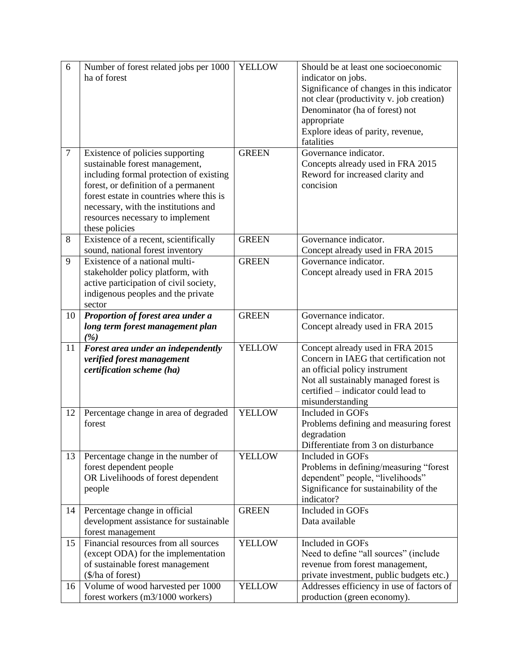| 6      | Number of forest related jobs per 1000   | <b>YELLOW</b> | Should be at least one socioeconomic      |
|--------|------------------------------------------|---------------|-------------------------------------------|
|        | ha of forest                             |               | indicator on jobs.                        |
|        |                                          |               | Significance of changes in this indicator |
|        |                                          |               | not clear (productivity v. job creation)  |
|        |                                          |               | Denominator (ha of forest) not            |
|        |                                          |               | appropriate                               |
|        |                                          |               | Explore ideas of parity, revenue,         |
|        |                                          |               | fatalities                                |
| $\tau$ | Existence of policies supporting         | <b>GREEN</b>  | Governance indicator.                     |
|        | sustainable forest management,           |               | Concepts already used in FRA 2015         |
|        | including formal protection of existing  |               | Reword for increased clarity and          |
|        | forest, or definition of a permanent     |               | concision                                 |
|        | forest estate in countries where this is |               |                                           |
|        | necessary, with the institutions and     |               |                                           |
|        | resources necessary to implement         |               |                                           |
|        | these policies                           |               |                                           |
| 8      | Existence of a recent, scientifically    | <b>GREEN</b>  | Governance indicator.                     |
|        | sound, national forest inventory         |               | Concept already used in FRA 2015          |
| 9      | Existence of a national multi-           | <b>GREEN</b>  | Governance indicator.                     |
|        | stakeholder policy platform, with        |               | Concept already used in FRA 2015          |
|        | active participation of civil society,   |               |                                           |
|        | indigenous peoples and the private       |               |                                           |
|        | sector                                   |               |                                           |
| 10     | Proportion of forest area under a        | <b>GREEN</b>  | Governance indicator.                     |
|        | long term forest management plan         |               | Concept already used in FRA 2015          |
|        | (%)                                      |               |                                           |
| 11     | Forest area under an independently       | <b>YELLOW</b> | Concept already used in FRA 2015          |
|        | verified forest management               |               | Concern in IAEG that certification not    |
|        | certification scheme (ha)                |               | an official policy instrument             |
|        |                                          |               | Not all sustainably managed forest is     |
|        |                                          |               | certified – indicator could lead to       |
|        |                                          |               | misunderstanding                          |
| 12     | Percentage change in area of degraded    | <b>YELLOW</b> | Included in GOFs                          |
|        | forest                                   |               | Problems defining and measuring forest    |
|        |                                          |               | degradation                               |
|        |                                          |               | Differentiate from 3 on disturbance       |
| 13     | Percentage change in the number of       | <b>YELLOW</b> | Included in GOFs                          |
|        | forest dependent people                  |               | Problems in defining/measuring "forest    |
|        | OR Livelihoods of forest dependent       |               | dependent" people, "livelihoods"          |
|        | people                                   |               | Significance for sustainability of the    |
|        |                                          |               | indicator?                                |
| 14     | Percentage change in official            | <b>GREEN</b>  | Included in GOFs                          |
|        | development assistance for sustainable   |               | Data available                            |
|        | forest management                        |               |                                           |
| 15     | Financial resources from all sources     | <b>YELLOW</b> | Included in GOFs                          |
|        | (except ODA) for the implementation      |               | Need to define "all sources" (include     |
|        | of sustainable forest management         |               | revenue from forest management,           |
|        | (\$/ha of forest)                        |               | private investment, public budgets etc.)  |
| 16     | Volume of wood harvested per 1000        | <b>YELLOW</b> | Addresses efficiency in use of factors of |
|        | forest workers (m3/1000 workers)         |               | production (green economy).               |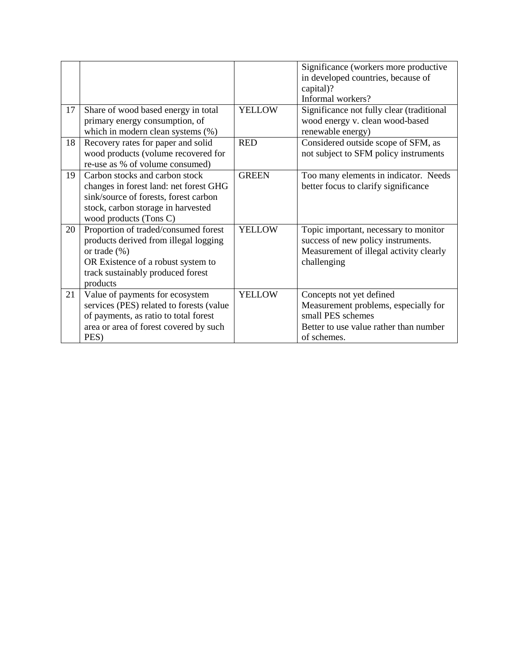|    |                                                                                                                                                                                          |               | Significance (workers more productive<br>in developed countries, because of<br>capital)?<br>Informal workers?                                  |
|----|------------------------------------------------------------------------------------------------------------------------------------------------------------------------------------------|---------------|------------------------------------------------------------------------------------------------------------------------------------------------|
| 17 | Share of wood based energy in total<br>primary energy consumption, of<br>which in modern clean systems (%)                                                                               | <b>YELLOW</b> | Significance not fully clear (traditional<br>wood energy v. clean wood-based<br>renewable energy)                                              |
| 18 | Recovery rates for paper and solid<br>wood products (volume recovered for<br>re-use as % of volume consumed)                                                                             | <b>RED</b>    | Considered outside scope of SFM, as<br>not subject to SFM policy instruments                                                                   |
| 19 | Carbon stocks and carbon stock<br>changes in forest land: net forest GHG<br>sink/source of forests, forest carbon<br>stock, carbon storage in harvested<br>wood products (Tons C)        | <b>GREEN</b>  | Too many elements in indicator. Needs<br>better focus to clarify significance                                                                  |
| 20 | Proportion of traded/consumed forest<br>products derived from illegal logging<br>or trade $(\% )$<br>OR Existence of a robust system to<br>track sustainably produced forest<br>products | <b>YELLOW</b> | Topic important, necessary to monitor<br>success of new policy instruments.<br>Measurement of illegal activity clearly<br>challenging          |
| 21 | Value of payments for ecosystem<br>services (PES) related to forests (value<br>of payments, as ratio to total forest<br>area or area of forest covered by such<br>PES)                   | <b>YELLOW</b> | Concepts not yet defined<br>Measurement problems, especially for<br>small PES schemes<br>Better to use value rather than number<br>of schemes. |